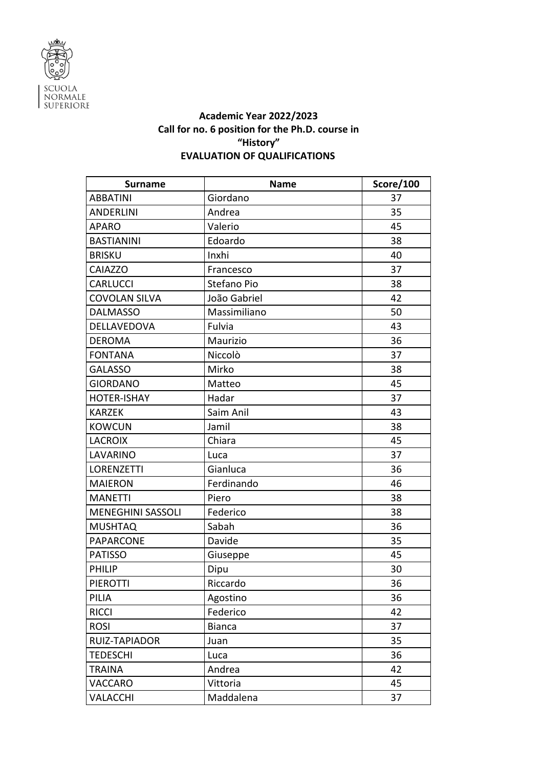

## **Academic Year 2022/2023 Call for no. 6 position for the Ph.D. course in "History" EVALUATION OF QUALIFICATIONS**

| <b>Surname</b>           | <b>Name</b>   | Score/100 |
|--------------------------|---------------|-----------|
| <b>ABBATINI</b>          | Giordano      | 37        |
| <b>ANDERLINI</b>         | Andrea        | 35        |
| <b>APARO</b>             | Valerio       | 45        |
| <b>BASTIANINI</b>        | Edoardo       | 38        |
| <b>BRISKU</b>            | Inxhi         | 40        |
| <b>CAIAZZO</b>           | Francesco     | 37        |
| <b>CARLUCCI</b>          | Stefano Pio   | 38        |
| COVOLAN SILVA            | João Gabriel  | 42        |
| <b>DALMASSO</b>          | Massimiliano  | 50        |
| DELLAVEDOVA              | Fulvia        | 43        |
| <b>DEROMA</b>            | Maurizio      | 36        |
| <b>FONTANA</b>           | Niccolò       | 37        |
| <b>GALASSO</b>           | Mirko         | 38        |
| <b>GIORDANO</b>          | Matteo        | 45        |
| HOTER-ISHAY              | Hadar         | 37        |
| <b>KARZEK</b>            | Saim Anil     | 43        |
| <b>KOWCUN</b>            | Jamil         | 38        |
| <b>LACROIX</b>           | Chiara        | 45        |
| LAVARINO                 | Luca          | 37        |
| <b>LORENZETTI</b>        | Gianluca      | 36        |
| <b>MAIERON</b>           | Ferdinando    | 46        |
| <b>MANETTI</b>           | Piero         | 38        |
| <b>MENEGHINI SASSOLI</b> | Federico      | 38        |
| <b>MUSHTAQ</b>           | Sabah         | 36        |
| <b>PAPARCONE</b>         | Davide        | 35        |
| <b>PATISSO</b>           | Giuseppe      | 45        |
| <b>PHILIP</b>            | Dipu          | 30        |
| PIEROTTI                 | Riccardo      | 36        |
| PILIA                    | Agostino      | 36        |
| <b>RICCI</b>             | Federico      | 42        |
| <b>ROSI</b>              | <b>Bianca</b> | 37        |
| RUIZ-TAPIADOR            | Juan          | 35        |
| <b>TEDESCHI</b>          | Luca          | 36        |
| <b>TRAINA</b>            | Andrea        | 42        |
| VACCARO                  | Vittoria      | 45        |
| VALACCHI                 | Maddalena     | 37        |